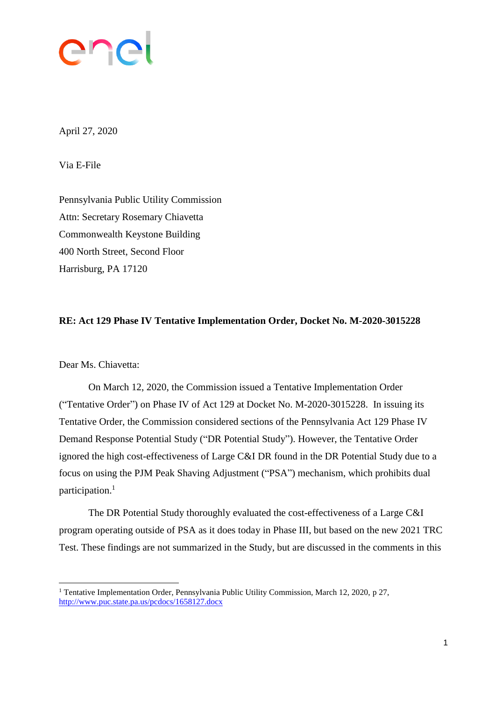

April 27, 2020

Via E-File

Pennsylvania Public Utility Commission Attn: Secretary Rosemary Chiavetta Commonwealth Keystone Building 400 North Street, Second Floor Harrisburg, PA 17120

#### **RE: Act 129 Phase IV Tentative Implementation Order, Docket No. M-2020-3015228**

Dear Ms. Chiavetta:

 $\overline{a}$ 

On March 12, 2020, the Commission issued a Tentative Implementation Order ("Tentative Order") on Phase IV of Act 129 at Docket No. M-2020-3015228. In issuing its Tentative Order, the Commission considered sections of the Pennsylvania Act 129 Phase IV Demand Response Potential Study ("DR Potential Study"). However, the Tentative Order ignored the high cost-effectiveness of Large C&I DR found in the DR Potential Study due to a focus on using the PJM Peak Shaving Adjustment ("PSA") mechanism, which prohibits dual participation. 1

The DR Potential Study thoroughly evaluated the cost-effectiveness of a Large C&I program operating outside of PSA as it does today in Phase III, but based on the new 2021 TRC Test. These findings are not summarized in the Study, but are discussed in the comments in this

<sup>&</sup>lt;sup>1</sup> Tentative Implementation Order, Pennsylvania Public Utility Commission, March 12, 2020, p 27, <http://www.puc.state.pa.us/pcdocs/1658127.docx>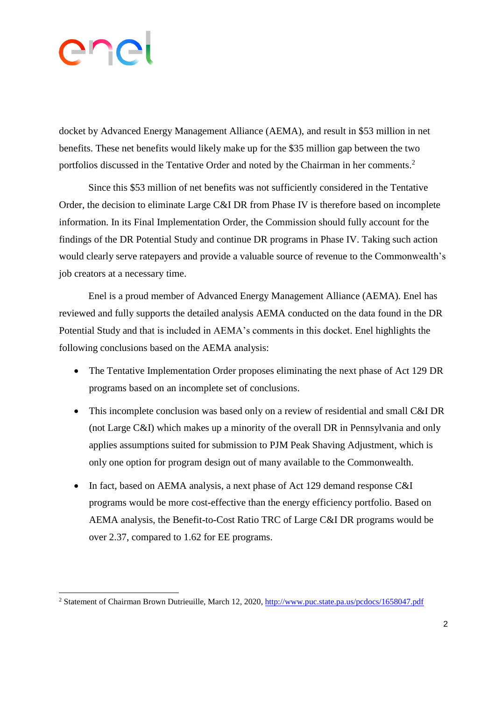# ene

 $\overline{a}$ 

docket by Advanced Energy Management Alliance (AEMA), and result in \$53 million in net benefits. These net benefits would likely make up for the \$35 million gap between the two portfolios discussed in the Tentative Order and noted by the Chairman in her comments.<sup>2</sup>

Since this \$53 million of net benefits was not sufficiently considered in the Tentative Order, the decision to eliminate Large C&I DR from Phase IV is therefore based on incomplete information. In its Final Implementation Order, the Commission should fully account for the findings of the DR Potential Study and continue DR programs in Phase IV. Taking such action would clearly serve ratepayers and provide a valuable source of revenue to the Commonwealth's job creators at a necessary time.

Enel is a proud member of Advanced Energy Management Alliance (AEMA). Enel has reviewed and fully supports the detailed analysis AEMA conducted on the data found in the DR Potential Study and that is included in AEMA's comments in this docket. Enel highlights the following conclusions based on the AEMA analysis:

- The Tentative Implementation Order proposes eliminating the next phase of Act 129 DR programs based on an incomplete set of conclusions.
- This incomplete conclusion was based only on a review of residential and small C&I DR (not Large C&I) which makes up a minority of the overall DR in Pennsylvania and only applies assumptions suited for submission to PJM Peak Shaving Adjustment, which is only one option for program design out of many available to the Commonwealth.
- In fact, based on AEMA analysis, a next phase of Act 129 demand response C&I programs would be more cost-effective than the energy efficiency portfolio. Based on AEMA analysis, the Benefit-to-Cost Ratio TRC of Large C&I DR programs would be over 2.37, compared to 1.62 for EE programs.

<sup>&</sup>lt;sup>2</sup> Statement of Chairman Brown Dutrieuille, March 12, 2020, <http://www.puc.state.pa.us/pcdocs/1658047.pdf>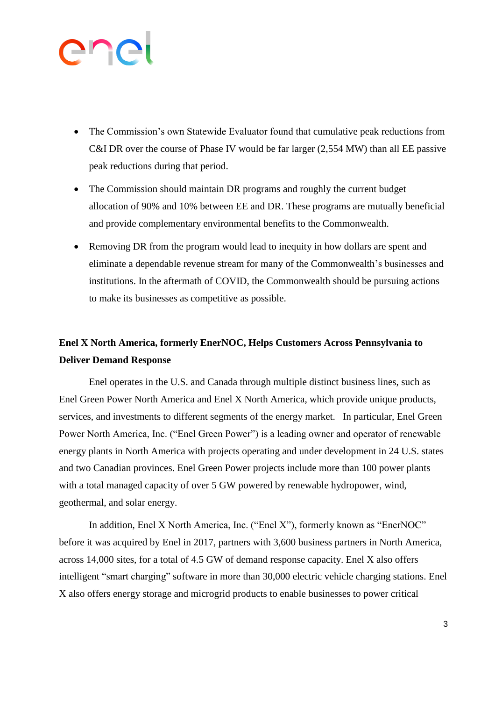# ener

- The Commission's own Statewide Evaluator found that cumulative peak reductions from C&I DR over the course of Phase IV would be far larger (2,554 MW) than all EE passive peak reductions during that period.
- The Commission should maintain DR programs and roughly the current budget allocation of 90% and 10% between EE and DR. These programs are mutually beneficial and provide complementary environmental benefits to the Commonwealth.
- Removing DR from the program would lead to inequity in how dollars are spent and eliminate a dependable revenue stream for many of the Commonwealth's businesses and institutions. In the aftermath of COVID, the Commonwealth should be pursuing actions to make its businesses as competitive as possible.

### **Enel X North America, formerly EnerNOC, Helps Customers Across Pennsylvania to Deliver Demand Response**

Enel operates in the U.S. and Canada through multiple distinct business lines, such as Enel Green Power North America and Enel X North America, which provide unique products, services, and investments to different segments of the energy market. In particular, Enel Green Power North America, Inc. ("Enel Green Power") is a leading owner and operator of renewable energy plants in North America with projects operating and under development in 24 U.S. states and two Canadian provinces. Enel Green Power projects include more than 100 power plants with a total managed capacity of over 5 GW powered by renewable hydropower, wind, geothermal, and solar energy.

In addition, Enel X North America, Inc. ("Enel X"), formerly known as "EnerNOC" before it was acquired by Enel in 2017, partners with 3,600 business partners in North America, across 14,000 sites, for a total of 4.5 GW of demand response capacity. Enel X also offers intelligent "smart charging" software in more than 30,000 electric vehicle charging stations. Enel X also offers energy storage and microgrid products to enable businesses to power critical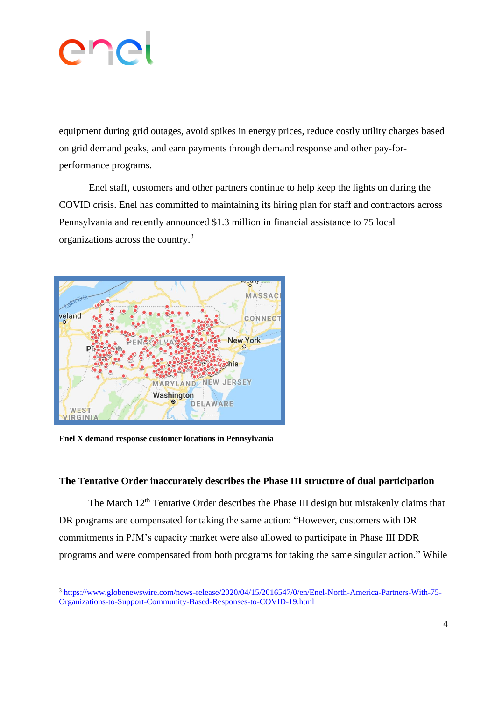

equipment during grid outages, avoid spikes in energy prices, reduce costly utility charges based on grid demand peaks, and earn payments through demand response and other pay-forperformance programs.

Enel staff, customers and other partners continue to help keep the lights on during the COVID crisis. Enel has committed to maintaining its hiring plan for staff and contractors across Pennsylvania and recently announced \$1.3 million in financial assistance to 75 local organizations across the country.<sup>3</sup>



**Enel X demand response customer locations in Pennsylvania** 

 $\overline{a}$ 

#### **The Tentative Order inaccurately describes the Phase III structure of dual participation**

The March 12<sup>th</sup> Tentative Order describes the Phase III design but mistakenly claims that DR programs are compensated for taking the same action: "However, customers with DR commitments in PJM's capacity market were also allowed to participate in Phase III DDR programs and were compensated from both programs for taking the same singular action." While

<sup>3</sup> [https://www.globenewswire.com/news-release/2020/04/15/2016547/0/en/Enel-North-America-Partners-With-75-](https://www.globenewswire.com/news-release/2020/04/15/2016547/0/en/Enel-North-America-Partners-With-75-Organizations-to-Support-Community-Based-Responses-to-COVID-19.html) [Organizations-to-Support-Community-Based-Responses-to-COVID-19.html](https://www.globenewswire.com/news-release/2020/04/15/2016547/0/en/Enel-North-America-Partners-With-75-Organizations-to-Support-Community-Based-Responses-to-COVID-19.html)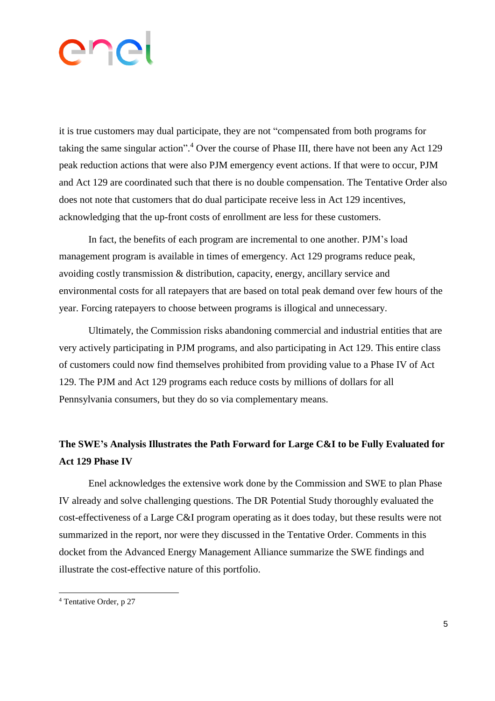## enei

it is true customers may dual participate, they are not "compensated from both programs for taking the same singular action". <sup>4</sup> Over the course of Phase III, there have not been any Act 129 peak reduction actions that were also PJM emergency event actions. If that were to occur, PJM and Act 129 are coordinated such that there is no double compensation. The Tentative Order also does not note that customers that do dual participate receive less in Act 129 incentives, acknowledging that the up-front costs of enrollment are less for these customers.

In fact, the benefits of each program are incremental to one another. PJM's load management program is available in times of emergency. Act 129 programs reduce peak, avoiding costly transmission & distribution, capacity, energy, ancillary service and environmental costs for all ratepayers that are based on total peak demand over few hours of the year. Forcing ratepayers to choose between programs is illogical and unnecessary.

Ultimately, the Commission risks abandoning commercial and industrial entities that are very actively participating in PJM programs, and also participating in Act 129. This entire class of customers could now find themselves prohibited from providing value to a Phase IV of Act 129. The PJM and Act 129 programs each reduce costs by millions of dollars for all Pennsylvania consumers, but they do so via complementary means.

### **The SWE's Analysis Illustrates the Path Forward for Large C&I to be Fully Evaluated for Act 129 Phase IV**

Enel acknowledges the extensive work done by the Commission and SWE to plan Phase IV already and solve challenging questions. The DR Potential Study thoroughly evaluated the cost-effectiveness of a Large C&I program operating as it does today, but these results were not summarized in the report, nor were they discussed in the Tentative Order. Comments in this docket from the Advanced Energy Management Alliance summarize the SWE findings and illustrate the cost-effective nature of this portfolio.

 $\overline{a}$ 

<sup>4</sup> Tentative Order, p 27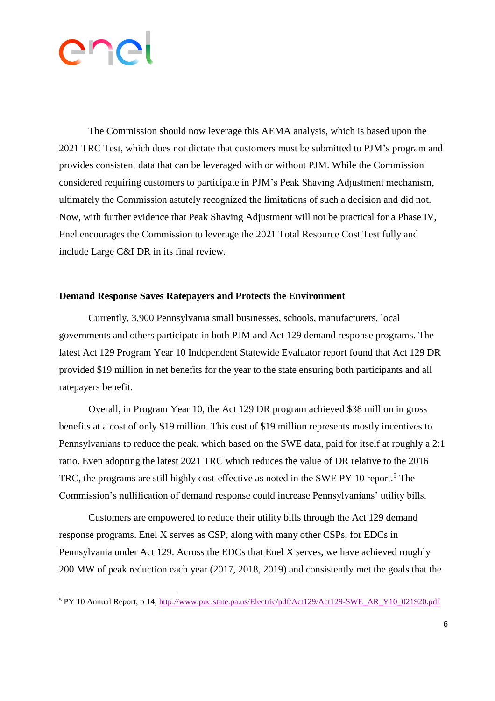

 $\overline{a}$ 

The Commission should now leverage this AEMA analysis, which is based upon the 2021 TRC Test, which does not dictate that customers must be submitted to PJM's program and provides consistent data that can be leveraged with or without PJM. While the Commission considered requiring customers to participate in PJM's Peak Shaving Adjustment mechanism, ultimately the Commission astutely recognized the limitations of such a decision and did not. Now, with further evidence that Peak Shaving Adjustment will not be practical for a Phase IV, Enel encourages the Commission to leverage the 2021 Total Resource Cost Test fully and include Large C&I DR in its final review.

#### **Demand Response Saves Ratepayers and Protects the Environment**

Currently, 3,900 Pennsylvania small businesses, schools, manufacturers, local governments and others participate in both PJM and Act 129 demand response programs. The latest Act 129 Program Year 10 Independent Statewide Evaluator report found that Act 129 DR provided \$19 million in net benefits for the year to the state ensuring both participants and all ratepayers benefit.

Overall, in Program Year 10, the Act 129 DR program achieved \$38 million in gross benefits at a cost of only \$19 million. This cost of \$19 million represents mostly incentives to Pennsylvanians to reduce the peak, which based on the SWE data, paid for itself at roughly a 2:1 ratio. Even adopting the latest 2021 TRC which reduces the value of DR relative to the 2016 TRC, the programs are still highly cost-effective as noted in the SWE PY 10 report.<sup>5</sup> The Commission's nullification of demand response could increase Pennsylvanians' utility bills.

Customers are empowered to reduce their utility bills through the Act 129 demand response programs. Enel X serves as CSP, along with many other CSPs, for EDCs in Pennsylvania under Act 129. Across the EDCs that Enel X serves, we have achieved roughly 200 MW of peak reduction each year (2017, 2018, 2019) and consistently met the goals that the

<sup>5</sup> PY 10 Annual Report, p 14, [http://www.puc.state.pa.us/Electric/pdf/Act129/Act129-SWE\\_AR\\_Y10\\_021920.pdf](http://www.puc.state.pa.us/Electric/pdf/Act129/Act129-SWE_AR_Y10_021920.pdf)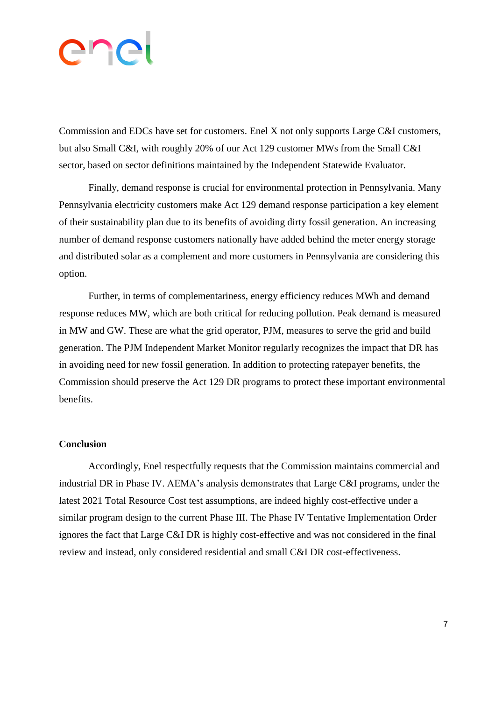# ener

Commission and EDCs have set for customers. Enel X not only supports Large C&I customers, but also Small C&I, with roughly 20% of our Act 129 customer MWs from the Small C&I sector, based on sector definitions maintained by the Independent Statewide Evaluator.

Finally, demand response is crucial for environmental protection in Pennsylvania. Many Pennsylvania electricity customers make Act 129 demand response participation a key element of their sustainability plan due to its benefits of avoiding dirty fossil generation. An increasing number of demand response customers nationally have added behind the meter energy storage and distributed solar as a complement and more customers in Pennsylvania are considering this option.

Further, in terms of complementariness, energy efficiency reduces MWh and demand response reduces MW, which are both critical for reducing pollution. Peak demand is measured in MW and GW. These are what the grid operator, PJM, measures to serve the grid and build generation. The PJM Independent Market Monitor regularly recognizes the impact that DR has in avoiding need for new fossil generation. In addition to protecting ratepayer benefits, the Commission should preserve the Act 129 DR programs to protect these important environmental benefits.

#### **Conclusion**

Accordingly, Enel respectfully requests that the Commission maintains commercial and industrial DR in Phase IV. AEMA's analysis demonstrates that Large C&I programs, under the latest 2021 Total Resource Cost test assumptions, are indeed highly cost-effective under a similar program design to the current Phase III. The Phase IV Tentative Implementation Order ignores the fact that Large C&I DR is highly cost-effective and was not considered in the final review and instead, only considered residential and small C&I DR cost-effectiveness.